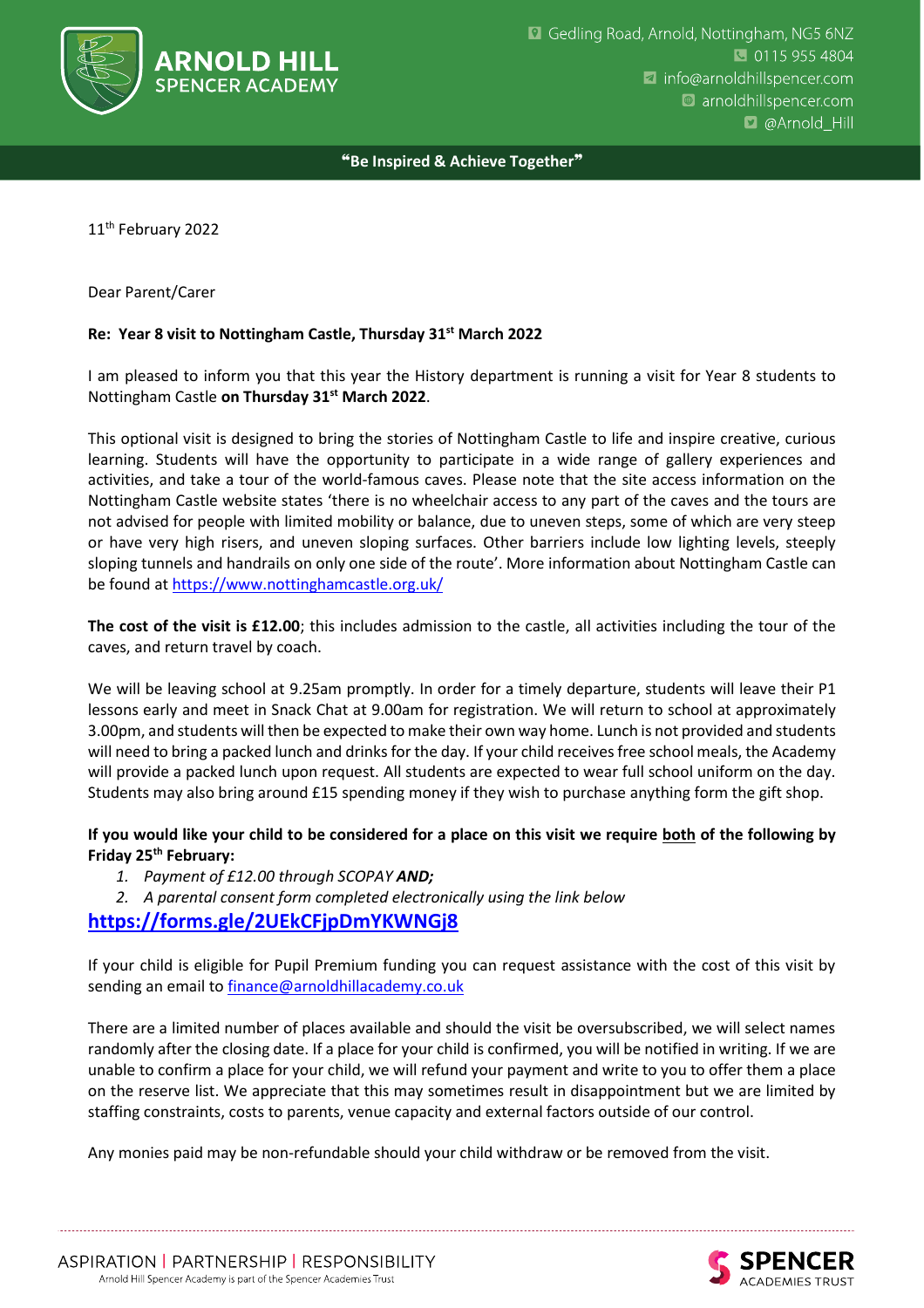

❝**Be Inspired & Achieve Together**❞

11<sup>th</sup> February 2022

## Dear Parent/Carer

## **Re: Year 8 visit to Nottingham Castle, Thursday 31st March 2022**

I am pleased to inform you that this year the History department is running a visit for Year 8 students to Nottingham Castle **on Thursday 31st March 2022**.

This optional visit is designed to bring the stories of Nottingham Castle to life and inspire creative, curious learning. Students will have the opportunity to participate in a wide range of gallery experiences and activities, and take a tour of the world-famous caves. Please note that the site access information on the Nottingham Castle website states 'there is no wheelchair access to any part of the caves and the tours are not advised for people with limited mobility or balance, due to uneven steps, some of which are very steep or have very high risers, and uneven sloping surfaces. Other barriers include low lighting levels, steeply sloping tunnels and handrails on only one side of the route'. More information about Nottingham Castle can be found at<https://www.nottinghamcastle.org.uk/>

**The cost of the visit is £12.00**; this includes admission to the castle, all activities including the tour of the caves, and return travel by coach.

We will be leaving school at 9.25am promptly. In order for a timely departure, students will leave their P1 lessons early and meet in Snack Chat at 9.00am for registration. We will return to school at approximately 3.00pm, and students will then be expected to make their own way home. Lunch is not provided and students will need to bring a packed lunch and drinks for the day. If your child receives free school meals, the Academy will provide a packed lunch upon request. All students are expected to wear full school uniform on the day. Students may also bring around £15 spending money if they wish to purchase anything form the gift shop.

## **If you would like your child to be considered for a place on this visit we require both of the following by Friday 25th February:**

- *1. Payment of £12.00 through SCOPAY AND;*
- *2. A parental consent form completed electronically using the link below*

## **<https://forms.gle/2UEkCFjpDmYKWNGj8>**

If your child is eligible for Pupil Premium funding you can request assistance with the cost of this visit by sending an email t[o finance@arnoldhillacademy.co.uk](mailto:finance@arnoldhillacademy.co.uk)

There are a limited number of places available and should the visit be oversubscribed, we will select names randomly after the closing date. If a place for your child is confirmed, you will be notified in writing. If we are unable to confirm a place for your child, we will refund your payment and write to you to offer them a place on the reserve list. We appreciate that this may sometimes result in disappointment but we are limited by staffing constraints, costs to parents, venue capacity and external factors outside of our control.

Any monies paid may be non-refundable should your child withdraw or be removed from the visit.